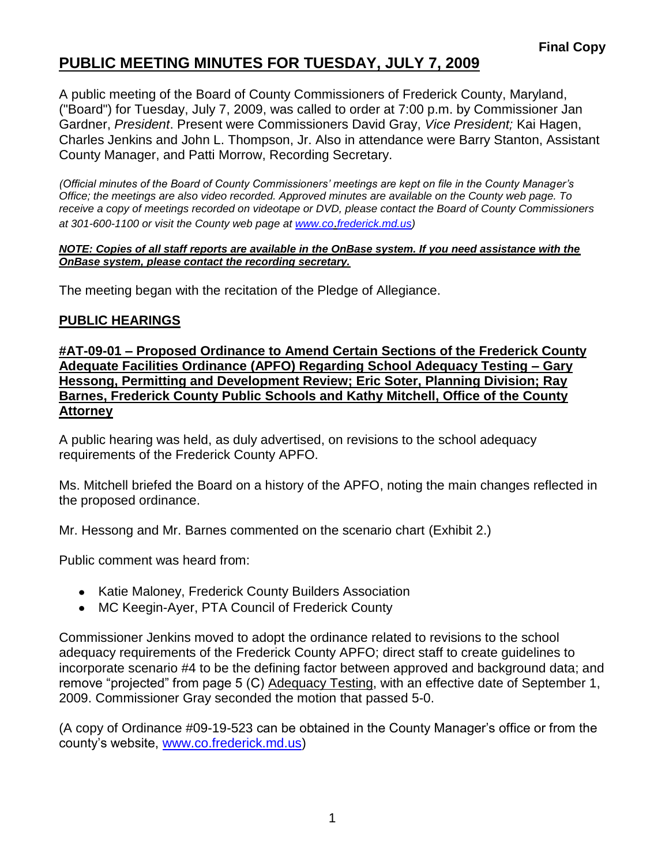# **PUBLIC MEETING MINUTES FOR TUESDAY, JULY 7, 2009**

A public meeting of the Board of County Commissioners of Frederick County, Maryland, ("Board") for Tuesday, July 7, 2009, was called to order at 7:00 p.m. by Commissioner Jan Gardner, *President*. Present were Commissioners David Gray, *Vice President;* Kai Hagen, Charles Jenkins and John L. Thompson, Jr. Also in attendance were Barry Stanton, Assistant County Manager, and Patti Morrow, Recording Secretary.

*(Official minutes of the Board of County Commissioners' meetings are kept on file in the County Manager's Office; the meetings are also video recorded. Approved minutes are available on the County web page. To receive a copy of meetings recorded on videotape or DVD, please contact the Board of County Commissioners at 301-600-1100 or visit the County web page at [www.co](http://www.co/)*.*frederick.md.us)*

#### *NOTE: Copies of all staff reports are available in the OnBase system. If you need assistance with the OnBase system, please contact the recording secretary.*

The meeting began with the recitation of the Pledge of Allegiance.

### **PUBLIC HEARINGS**

**#AT-09-01 – Proposed Ordinance to Amend Certain Sections of the Frederick County Adequate Facilities Ordinance (APFO) Regarding School Adequacy Testing – Gary Hessong, Permitting and Development Review; Eric Soter, Planning Division; Ray Barnes, Frederick County Public Schools and Kathy Mitchell, Office of the County Attorney**

A public hearing was held, as duly advertised, on revisions to the school adequacy requirements of the Frederick County APFO.

Ms. Mitchell briefed the Board on a history of the APFO, noting the main changes reflected in the proposed ordinance.

Mr. Hessong and Mr. Barnes commented on the scenario chart (Exhibit 2.)

Public comment was heard from:

- Katie Maloney, Frederick County Builders Association
- MC Keegin-Ayer, PTA Council of Frederick County

Commissioner Jenkins moved to adopt the ordinance related to revisions to the school adequacy requirements of the Frederick County APFO; direct staff to create guidelines to incorporate scenario #4 to be the defining factor between approved and background data; and remove "projected" from page 5 (C) Adequacy Testing, with an effective date of September 1, 2009. Commissioner Gray seconded the motion that passed 5-0.

(A copy of Ordinance #09-19-523 can be obtained in the County Manager's office or from the county's website, [www.co.frederick.md.us\)](www.co.frederick.md.us)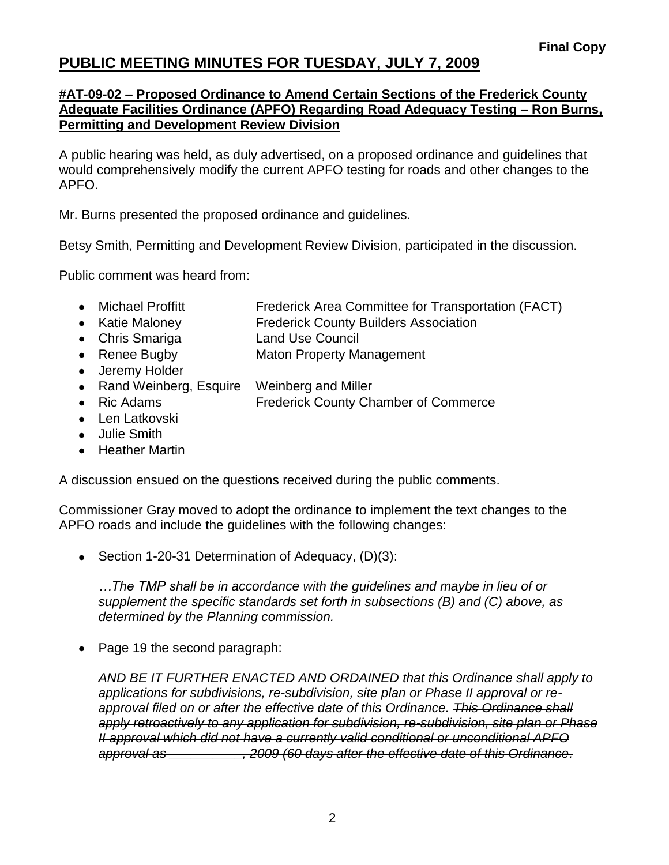## **PUBLIC MEETING MINUTES FOR TUESDAY, JULY 7, 2009**

### **#AT-09-02 – Proposed Ordinance to Amend Certain Sections of the Frederick County Adequate Facilities Ordinance (APFO) Regarding Road Adequacy Testing – Ron Burns, Permitting and Development Review Division**

A public hearing was held, as duly advertised, on a proposed ordinance and guidelines that would comprehensively modify the current APFO testing for roads and other changes to the APFO.

Mr. Burns presented the proposed ordinance and guidelines.

Betsy Smith, Permitting and Development Review Division, participated in the discussion.

Public comment was heard from:

- Michael Proffitt Frederick Area Committee for Transportation (FACT)
- Katie Maloney **Frederick County Builders Association**
- Chris Smariga Land Use Council
- Renee Bugby Maton Property Management
- Jeremy Holder
- Rand Weinberg, Esquire Weinberg and Miller
- Ric Adams **Frederick County Chamber of Commerce**
- Len Latkovski
- Julie Smith
- Heather Martin

A discussion ensued on the questions received during the public comments.

Commissioner Gray moved to adopt the ordinance to implement the text changes to the APFO roads and include the guidelines with the following changes:

• Section 1-20-31 Determination of Adequacy, (D)(3):

*…The TMP shall be in accordance with the guidelines and maybe in lieu of or supplement the specific standards set forth in subsections (B) and (C) above, as determined by the Planning commission.*

• Page 19 the second paragraph:

*AND BE IT FURTHER ENACTED AND ORDAINED that this Ordinance shall apply to applications for subdivisions, re-subdivision, site plan or Phase II approval or reapproval filed on or after the effective date of this Ordinance. This Ordinance shall apply retroactively to any application for subdivision, re-subdivision, site plan or Phase II approval which did not have a currently valid conditional or unconditional APFO approval as \_\_\_\_\_\_\_\_\_\_, 2009 (60 days after the effective date of this Ordinance.*